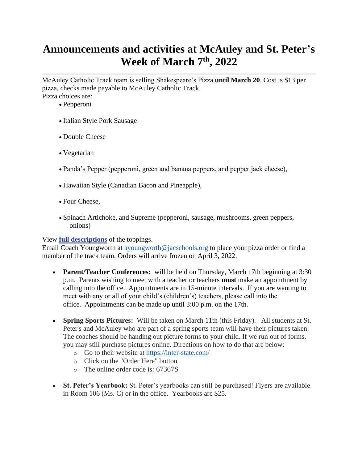# **Announcements and activities at McAuley and St. Peter's Week of March 7th, 2022**

McAuley Catholic Track team is selling Shakespeare's Pizza **until March 20**. Cost is \$13 per pizza, checks made payable to McAuley Catholic Track. Pizza choices are:

- Pepperoni
- Italian Style Pork Sausage
- Double Cheese
- Vegetarian
- Panda's Pepper (pepperoni, green and banana peppers, and pepper jack cheese),
- Hawaiian Style (Canadian Bacon and Pineapple),
- Four Cheese,
- Spinach Artichoke, and Supreme (pepperoni, sausage, mushrooms, green peppers, onions)

#### View **[full descriptions](https://www.jacss.org/wp-content/uploads/Shakespeares-Pizza.pdf)** of the toppings.

Email Coach Youngworth at ayoungworth@jacschools.org to place your pizza order or find a member of the track team. Orders will arrive frozen on April 3, 2022.

- **Parent/Teacher Conferences:** will be held on Thursday, March 17th beginning at 3:30 p.m. Parents wishing to meet with a teacher or teachers **must** make an appointment by calling into the office. Appointments are in 15-minute intervals. If you are wanting to meet with any or all of your child's (children's) teachers, please call into the office. Appointments can be made up until 3:00 p.m. on the 17th.
- **Spring Sports Pictures:** Will be taken on March 11th (this Friday). All students at St. Peter's and McAuley who are part of a spring sports team will have their pictures taken. The coaches should be handing out picture forms to your child. If we run out of forms, you may still purchase pictures online. Directions on how to do that are below:
	- o Go to their website at<https://inter-state.com/>
	- o Click on the "Order Here" button
	- o The online order code is: 67367S
- **St. Peter's Yearbook:** St. Peter's yearbooks can still be purchased! Flyers are available in Room 106 (Ms. C) or in the office. Yearbooks are \$25.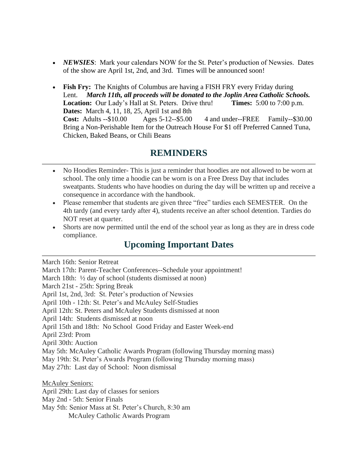- *NEWSIES*: Mark your calendars NOW for the St. Peter's production of Newsies. Dates of the show are April 1st, 2nd, and 3rd. Times will be announced soon!
- **Fish Fry:** The Knights of Columbus are having a FISH FRY every Friday during Lent. *March 11th, all proceeds will be donated to the Joplin Area Catholic Schools.*  **Location:** Our Lady's Hall at St. Peters. Drive thru! **Times:** 5:00 to 7:00 p.m. **Dates:** March 4, 11, 18, 25, April 1st and 8th **Cost:** Adults --\$10.00 Ages 5-12--\$5.00 4 and under--FREE Family--\$30.00 Bring a Non-Perishable Item for the Outreach House For \$1 off Preferred Canned Tuna, Chicken, Baked Beans, or Chili Beans

### **REMINDERS**

- No Hoodies Reminder-This is just a reminder that hoodies are not allowed to be worn at school. The only time a hoodie can be worn is on a Free Dress Day that includes sweatpants. Students who have hoodies on during the day will be written up and receive a consequence in accordance with the handbook.
- Please remember that students are given three "free" tardies each SEMESTER. On the 4th tardy (and every tardy after 4), students receive an after school detention. Tardies do NOT reset at quarter.
- Shorts are now permitted until the end of the school year as long as they are in dress code compliance.

### **Upcoming Important Dates**

March 16th: Senior Retreat

March 17th: Parent-Teacher Conferences--Schedule your appointment! March 18th: ½ day of school (students dismissed at noon) March 21st - 25th: Spring Break April 1st, 2nd, 3rd: St. Peter's production of Newsies April 10th - 12th: St. Peter's and McAuley Self-Studies April 12th: St. Peters and McAuley Students dismissed at noon April 14th: Students dismissed at noon April 15th and 18th: No School Good Friday and Easter Week-end April 23rd: Prom April 30th: Auction May 5th: McAuley Catholic Awards Program (following Thursday morning mass) May 19th: St. Peter's Awards Program (following Thursday morning mass) May 27th: Last day of School: Noon dismissal McAuley Seniors: April 29th: Last day of classes for seniors May 2nd - 5th: Senior Finals May 5th: Senior Mass at St. Peter's Church, 8:30 am

McAuley Catholic Awards Program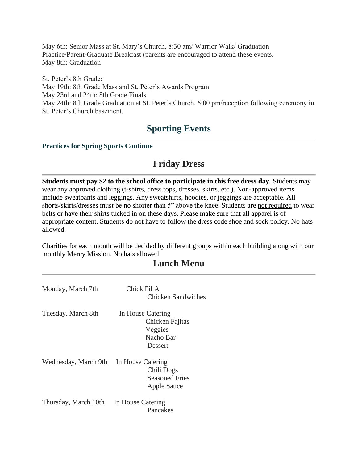May 6th: Senior Mass at St. Mary's Church, 8:30 am/ Warrior Walk/ Graduation Practice/Parent-Graduate Breakfast (parents are encouraged to attend these events. May 8th: Graduation

St. Peter's 8th Grade: May 19th: 8th Grade Mass and St. Peter's Awards Program May 23rd and 24th: 8th Grade Finals May 24th: 8th Grade Graduation at St. Peter's Church, 6:00 pm/reception following ceremony in St. Peter's Church basement.

# **Sporting Events**

#### **Practices for Spring Sports Continue**

### **Friday Dress**

**Students must pay \$2 to the school office to participate in this free dress day.** Students may wear any approved clothing (t-shirts, dress tops, dresses, skirts, etc.). Non-approved items include sweatpants and leggings. Any sweatshirts, hoodies, or jeggings are acceptable. All shorts/skirts/dresses must be no shorter than 5" above the knee. Students are not required to wear belts or have their shirts tucked in on these days. Please make sure that all apparel is of appropriate content. Students do not have to follow the dress code shoe and sock policy. No hats allowed.

Charities for each month will be decided by different groups within each building along with our monthly Mercy Mission. No hats allowed.

## **Lunch Menu**

| Monday, March 7th    | Chick Fil A<br>Chicken Sandwiches                                       |
|----------------------|-------------------------------------------------------------------------|
| Tuesday, March 8th   | In House Catering<br>Chicken Fajitas<br>Veggies<br>Nacho Bar<br>Dessert |
| Wednesday, March 9th | In House Catering<br>Chili Dogs<br><b>Seasoned Fries</b><br>Apple Sauce |
| Thursday, March 10th | In House Catering<br>Pancakes                                           |